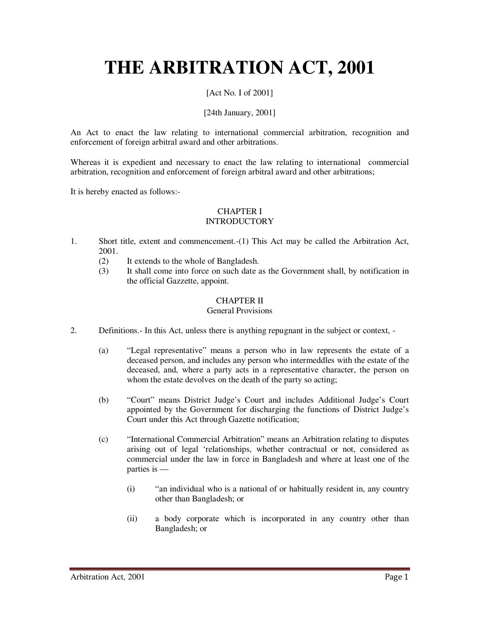# **THE ARBITRATION ACT, 2001**

# [Act No. I of 2001]

## [24th January, 2001]

An Act to enact the law relating to international commercial arbitration, recognition and enforcement of foreign arbitral award and other arbitrations.

Whereas it is expedient and necessary to enact the law relating to international commercial arbitration, recognition and enforcement of foreign arbitral award and other arbitrations;

It is hereby enacted as follows:-

# CHAPTER I

# **INTRODUCTORY**

- 1. Short title, extent and commencement.-(1) This Act may be called the Arbitration Act, 2001.
	- (2) It extends to the whole of Bangladesh.
	- (3) It shall come into force on such date as the Government shall, by notification in the official Gazzette, appoint.

#### CHAPTER II

#### General Provisions

- 2. Definitions.- In this Act, unless there is anything repugnant in the subject or context,
	- (a) "Legal representative" means a person who in law represents the estate of a deceased person, and includes any person who intermeddles with the estate of the deceased, and, where a party acts in a representative character, the person on whom the estate devolves on the death of the party so acting;
	- (b) "Court" means District Judge's Court and includes Additional Judge's Court appointed by the Government for discharging the functions of District Judge's Court under this Act through Gazette notification;
	- (c) "International Commercial Arbitration" means an Arbitration relating to disputes arising out of legal 'relationships, whether contractual or not, considered as commercial under the law in force in Bangladesh and where at least one of the parties is —
		- $(i)$  "an individual who is a national of or habitually resident in, any country other than Bangladesh; or
		- (ii) a body corporate which is incorporated in any country other than Bangladesh; or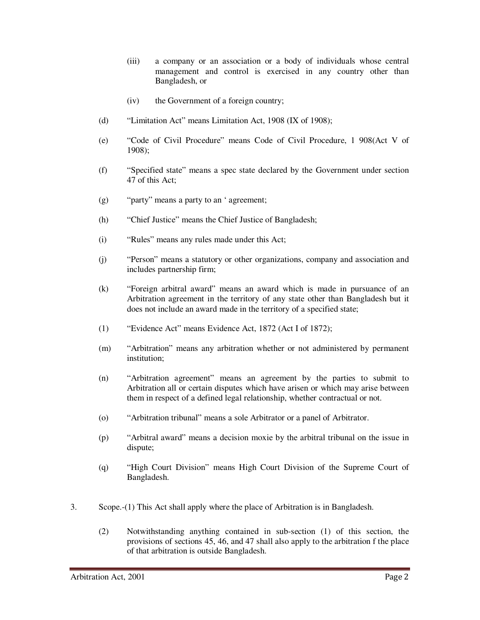- (iii) a company or an association or a body of individuals whose central management and control is exercised in any country other than Bangladesh, or
- (iv) the Government of a foreign country;
- (d) "Limitation Act" means Limitation Act, 1908 (IX of 1908);
- (e) "Code of Civil Procedure" means Code of Civil Procedure, 1 908(Act V of 1908);
- (f) "Specified state" means a spec state declared by the Government under section 47 of this Act;
- (g) "party" means a party to an ' agreement;
- (h) "Chief Justice" means the Chief Justice of Bangladesh;
- (i) "Rules" means any rules made under this Act;
- (j) "Person" means a statutory or other organizations, company and association and includes partnership firm;
- (k) "Foreign arbitral award" means an award which is made in pursuance of an Arbitration agreement in the territory of any state other than Bangladesh but it does not include an award made in the territory of a specified state;
- (1) "Evidence Act" means Evidence Act, 1872 (Act I of 1872);
- (m) "Arbitration" means any arbitration whether or not administered by permanent institution;
- (n) "Arbitration agreement" means an agreement by the parties to submit to Arbitration all or certain disputes which have arisen or which may arise between them in respect of a defined legal relationship, whether contractual or not.
- (o) "Arbitration tribunal" means a sole Arbitrator or a panel of Arbitrator.
- (p) "Arbitral award" means a decision moxie by the arbitral tribunal on the issue in dispute;
- (q) "High Court Division" means High Court Division of the Supreme Court of Bangladesh.
- 3. Scope.-(1) This Act shall apply where the place of Arbitration is in Bangladesh.
	- (2) Notwithstanding anything contained in sub-section (1) of this section, the provisions of sections 45, 46, and 47 shall also apply to the arbitration f the place of that arbitration is outside Bangladesh.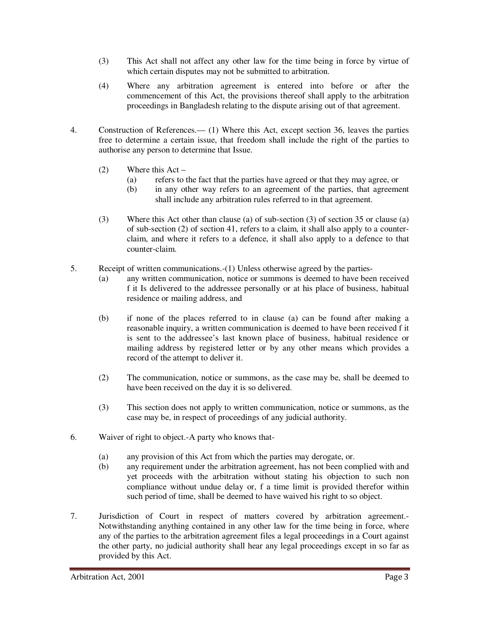- (3) This Act shall not affect any other law for the time being in force by virtue of which certain disputes may not be submitted to arbitration.
- (4) Where any arbitration agreement is entered into before or after the commencement of this Act, the provisions thereof shall apply to the arbitration proceedings in Bangladesh relating to the dispute arising out of that agreement.
- 4. Construction of References.— (1) Where this Act, except section 36, leaves the parties free to determine a certain issue, that freedom shall include the right of the parties to authorise any person to determine that Issue.
	- (2) Where this Act
		- (a) refers to the fact that the parties have agreed or that they may agree, or
		- (b) in any other way refers to an agreement of the parties, that agreement shall include any arbitration rules referred to in that agreement.
	- (3) Where this Act other than clause (a) of sub-section (3) of section 35 or clause (a) of sub-section (2) of section 41, refers to a claim, it shall also apply to a counterclaim, and where it refers to a defence, it shall also apply to a defence to that counter-claim.
- 5. Receipt of written communications.-(1) Unless otherwise agreed by the parties-
	- (a) any written communication, notice or summons is deemed to have been received f it Is delivered to the addressee personally or at his place of business, habitual residence or mailing address, and
	- (b) if none of the places referred to in clause (a) can be found after making a reasonable inquiry, a written communication is deemed to have been received f it is sent to the addressee's last known place of business, habitual residence or mailing address by registered letter or by any other means which provides a record of the attempt to deliver it.
	- (2) The communication, notice or summons, as the case may be, shall be deemed to have been received on the day it is so delivered.
	- (3) This section does not apply to written communication, notice or summons, as the case may be, in respect of proceedings of any judicial authority.
- 6. Waiver of right to object.-A party who knows that-
	- (a) any provision of this Act from which the parties may derogate, or.
	- (b) any requirement under the arbitration agreement, has not been complied with and yet proceeds with the arbitration without stating his objection to such non compliance without undue delay or, f a time limit is provided therefor within such period of time, shall be deemed to have waived his right to so object.
- 7. Jurisdiction of Court in respect of matters covered by arbitration agreement.- Notwithstanding anything contained in any other law for the time being in force, where any of the parties to the arbitration agreement files a legal proceedings in a Court against the other party, no judicial authority shall hear any legal proceedings except in so far as provided by this Act.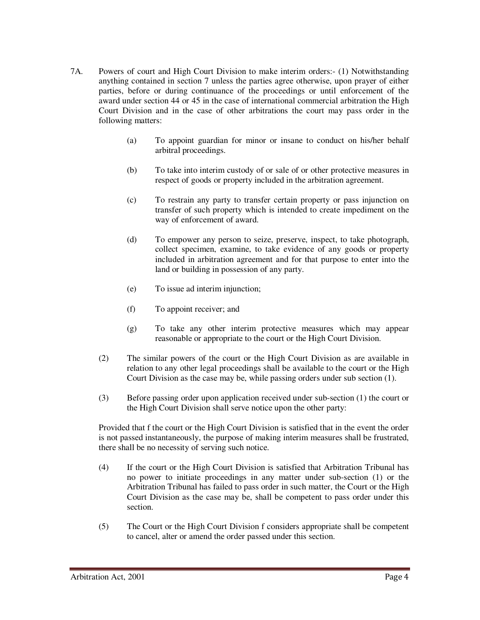- 7A. Powers of court and High Court Division to make interim orders:- (1) Notwithstanding anything contained in section 7 unless the parties agree otherwise, upon prayer of either parties, before or during continuance of the proceedings or until enforcement of the award under section 44 or 45 in the case of international commercial arbitration the High Court Division and in the case of other arbitrations the court may pass order in the following matters:
	- (a) To appoint guardian for minor or insane to conduct on his/her behalf arbitral proceedings.
	- (b) To take into interim custody of or sale of or other protective measures in respect of goods or property included in the arbitration agreement.
	- (c) To restrain any party to transfer certain property or pass injunction on transfer of such property which is intended to create impediment on the way of enforcement of award.
	- (d) To empower any person to seize, preserve, inspect, to take photograph, collect specimen, examine, to take evidence of any goods or property included in arbitration agreement and for that purpose to enter into the land or building in possession of any party.
	- (e) To issue ad interim injunction;
	- (f) To appoint receiver; and
	- (g) To take any other interim protective measures which may appear reasonable or appropriate to the court or the High Court Division.
	- (2) The similar powers of the court or the High Court Division as are available in relation to any other legal proceedings shall be available to the court or the High Court Division as the case may be, while passing orders under sub section (1).
	- (3) Before passing order upon application received under sub-section (1) the court or the High Court Division shall serve notice upon the other party:

Provided that f the court or the High Court Division is satisfied that in the event the order is not passed instantaneously, the purpose of making interim measures shall be frustrated, there shall be no necessity of serving such notice.

- (4) If the court or the High Court Division is satisfied that Arbitration Tribunal has no power to initiate proceedings in any matter under sub-section (1) or the Arbitration Tribunal has failed to pass order in such matter, the Court or the High Court Division as the case may be, shall be competent to pass order under this section.
- (5) The Court or the High Court Division f considers appropriate shall be competent to cancel, alter or amend the order passed under this section.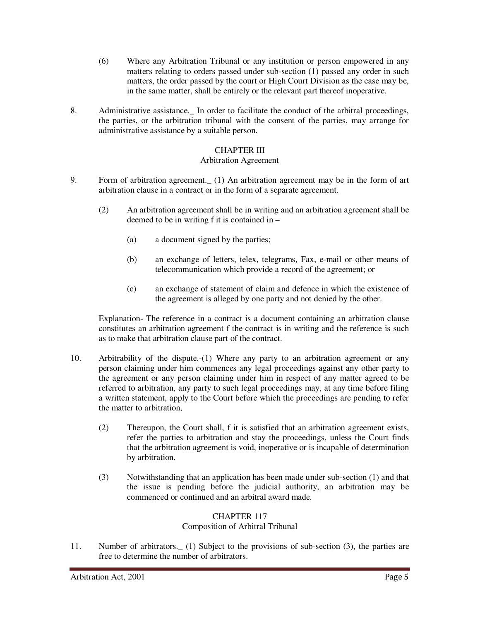- (6) Where any Arbitration Tribunal or any institution or person empowered in any matters relating to orders passed under sub-section (1) passed any order in such matters, the order passed by the court or High Court Division as the case may be, in the same matter, shall be entirely or the relevant part thereof inoperative.
- 8. Administrative assistance. In order to facilitate the conduct of the arbitral proceedings, the parties, or the arbitration tribunal with the consent of the parties, may arrange for administrative assistance by a suitable person.

# CHAPTER III

#### Arbitration Agreement

- 9. Form of arbitration agreement.\_ (1) An arbitration agreement may be in the form of art arbitration clause in a contract or in the form of a separate agreement.
	- (2) An arbitration agreement shall be in writing and an arbitration agreement shall be deemed to be in writing f it is contained in –
		- (a) a document signed by the parties;
		- (b) an exchange of letters, telex, telegrams, Fax, e-mail or other means of telecommunication which provide a record of the agreement; or
		- (c) an exchange of statement of claim and defence in which the existence of the agreement is alleged by one party and not denied by the other.

Explanation- The reference in a contract is a document containing an arbitration clause constitutes an arbitration agreement f the contract is in writing and the reference is such as to make that arbitration clause part of the contract.

- 10. Arbitrability of the dispute.-(1) Where any party to an arbitration agreement or any person claiming under him commences any legal proceedings against any other party to the agreement or any person claiming under him in respect of any matter agreed to be referred to arbitration, any party to such legal proceedings may, at any time before filing a written statement, apply to the Court before which the proceedings are pending to refer the matter to arbitration,
	- (2) Thereupon, the Court shall, f it is satisfied that an arbitration agreement exists, refer the parties to arbitration and stay the proceedings, unless the Court finds that the arbitration agreement is void, inoperative or is incapable of determination by arbitration.
	- (3) Notwithstanding that an application has been made under sub-section (1) and that the issue is pending before the judicial authority, an arbitration may be commenced or continued and an arbitral award made.

#### CHAPTER 117

#### Composition of Arbitral Tribunal

11. Number of arbitrators.\_ (1) Subject to the provisions of sub-section (3), the parties are free to determine the number of arbitrators.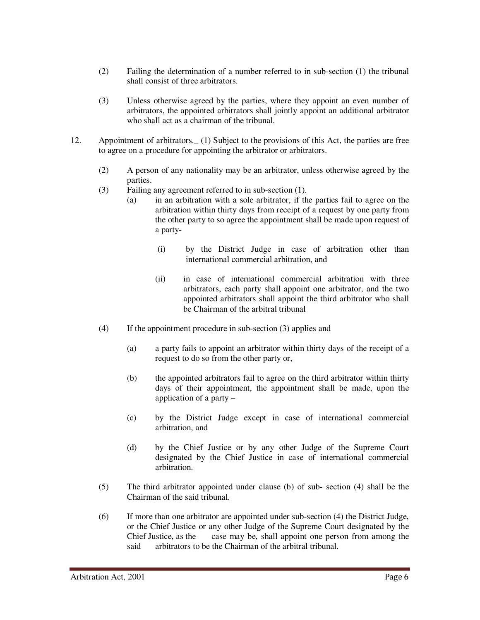- (2) Failing the determination of a number referred to in sub-section (1) the tribunal shall consist of three arbitrators.
- (3) Unless otherwise agreed by the parties, where they appoint an even number of arbitrators, the appointed arbitrators shall jointly appoint an additional arbitrator who shall act as a chairman of the tribunal.
- 12. Appointment of arbitrators.\_ (1) Subject to the provisions of this Act, the parties are free to agree on a procedure for appointing the arbitrator or arbitrators.
	- (2) A person of any nationality may be an arbitrator, unless otherwise agreed by the parties.
	- (3) Failing any agreement referred to in sub-section (1).
		- (a) in an arbitration with a sole arbitrator, if the parties fail to agree on the arbitration within thirty days from receipt of a request by one party from the other party to so agree the appointment shall be made upon request of a party-
			- (i) by the District Judge in case of arbitration other than international commercial arbitration, and
			- (ii) in case of international commercial arbitration with three arbitrators, each party shall appoint one arbitrator, and the two appointed arbitrators shall appoint the third arbitrator who shall be Chairman of the arbitral tribunal
	- (4) If the appointment procedure in sub-section (3) applies and
		- (a) a party fails to appoint an arbitrator within thirty days of the receipt of a request to do so from the other party or,
		- (b) the appointed arbitrators fail to agree on the third arbitrator within thirty days of their appointment, the appointment shall be made, upon the application of a party –
		- (c) by the District Judge except in case of international commercial arbitration, and
		- (d) by the Chief Justice or by any other Judge of the Supreme Court designated by the Chief Justice in case of international commercial arbitration.
	- (5) The third arbitrator appointed under clause (b) of sub- section (4) shall be the Chairman of the said tribunal.
	- (6) If more than one arbitrator are appointed under sub-section (4) the District Judge, or the Chief Justice or any other Judge of the Supreme Court designated by the Chief Justice, as the case may be, shall appoint one person from among the said arbitrators to be the Chairman of the arbitral tribunal.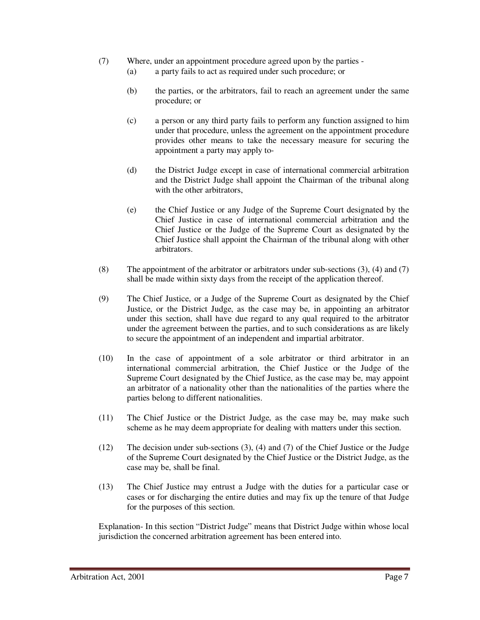- (7) Where, under an appointment procedure agreed upon by the parties
	- (a) a party fails to act as required under such procedure; or
	- (b) the parties, or the arbitrators, fail to reach an agreement under the same procedure; or
	- (c) a person or any third party fails to perform any function assigned to him under that procedure, unless the agreement on the appointment procedure provides other means to take the necessary measure for securing the appointment a party may apply to-
	- (d) the District Judge except in case of international commercial arbitration and the District Judge shall appoint the Chairman of the tribunal along with the other arbitrators,
	- (e) the Chief Justice or any Judge of the Supreme Court designated by the Chief Justice in case of international commercial arbitration and the Chief Justice or the Judge of the Supreme Court as designated by the Chief Justice shall appoint the Chairman of the tribunal along with other arbitrators.
- (8) The appointment of the arbitrator or arbitrators under sub-sections (3), (4) and (7) shall be made within sixty days from the receipt of the application thereof.
- (9) The Chief Justice, or a Judge of the Supreme Court as designated by the Chief Justice, or the District Judge, as the case may be, in appointing an arbitrator under this section, shall have due regard to any qual required to the arbitrator under the agreement between the parties, and to such considerations as are likely to secure the appointment of an independent and impartial arbitrator.
- (10) In the case of appointment of a sole arbitrator or third arbitrator in an international commercial arbitration, the Chief Justice or the Judge of the Supreme Court designated by the Chief Justice, as the case may be, may appoint an arbitrator of a nationality other than the nationalities of the parties where the parties belong to different nationalities.
- (11) The Chief Justice or the District Judge, as the case may be, may make such scheme as he may deem appropriate for dealing with matters under this section.
- (12) The decision under sub-sections (3), (4) and (7) of the Chief Justice or the Judge of the Supreme Court designated by the Chief Justice or the District Judge, as the case may be, shall be final.
- (13) The Chief Justice may entrust a Judge with the duties for a particular case or cases or for discharging the entire duties and may fix up the tenure of that Judge for the purposes of this section.

Explanation- In this section "District Judge" means that District Judge within whose local jurisdiction the concerned arbitration agreement has been entered into.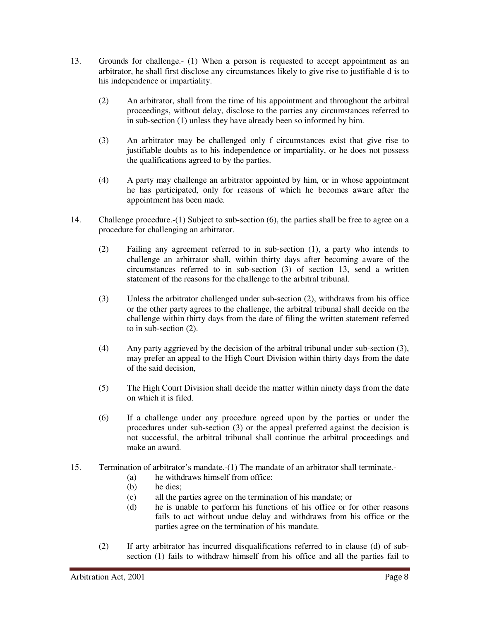- 13. Grounds for challenge.- (1) When a person is requested to accept appointment as an arbitrator, he shall first disclose any circumstances likely to give rise to justifiable d is to his independence or impartiality.
	- (2) An arbitrator, shall from the time of his appointment and throughout the arbitral proceedings, without delay, disclose to the parties any circumstances referred to in sub-section (1) unless they have already been so informed by him.
	- (3) An arbitrator may be challenged only f circumstances exist that give rise to justifiable doubts as to his independence or impartiality, or he does not possess the qualifications agreed to by the parties.
	- (4) A party may challenge an arbitrator appointed by him, or in whose appointment he has participated, only for reasons of which he becomes aware after the appointment has been made.
- 14. Challenge procedure.-(1) Subject to sub-section (6), the parties shall be free to agree on a procedure for challenging an arbitrator.
	- (2) Failing any agreement referred to in sub-section (1), a party who intends to challenge an arbitrator shall, within thirty days after becoming aware of the circumstances referred to in sub-section (3) of section 13, send a written statement of the reasons for the challenge to the arbitral tribunal.
	- (3) Unless the arbitrator challenged under sub-section (2), withdraws from his office or the other party agrees to the challenge, the arbitral tribunal shall decide on the challenge within thirty days from the date of filing the written statement referred to in sub-section (2).
	- (4) Any party aggrieved by the decision of the arbitral tribunal under sub-section (3), may prefer an appeal to the High Court Division within thirty days from the date of the said decision,
	- (5) The High Court Division shall decide the matter within ninety days from the date on which it is filed.
	- (6) If a challenge under any procedure agreed upon by the parties or under the procedures under sub-section (3) or the appeal preferred against the decision is not successful, the arbitral tribunal shall continue the arbitral proceedings and make an award.
- 15. Termination of arbitrator's mandate.-(1) The mandate of an arbitrator shall terminate.-
	- (a) he withdraws himself from office:<br>(b) he dies;
	- he dies:
	- (c) all the parties agree on the termination of his mandate; or
	- (d) he is unable to perform his functions of his office or for other reasons fails to act without undue delay and withdraws from his office or the parties agree on the termination of his mandate.
	- (2) If arty arbitrator has incurred disqualifications referred to in clause (d) of subsection (1) fails to withdraw himself from his office and all the parties fail to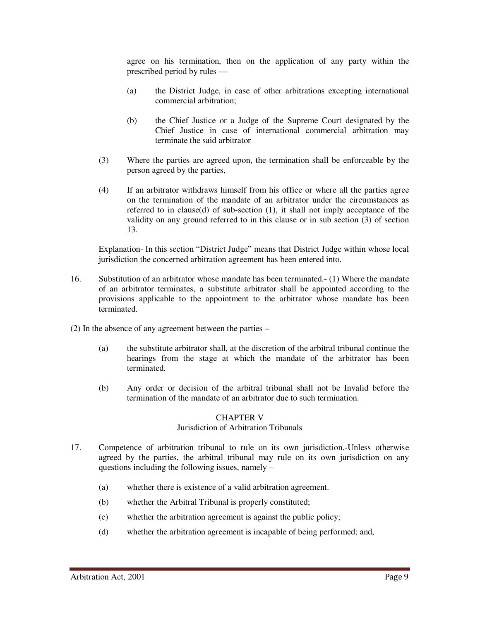agree on his termination, then on the application of any party within the prescribed period by rules —

- (a) the District Judge, in case of other arbitrations excepting international commercial arbitration;
- (b) the Chief Justice or a Judge of the Supreme Court designated by the Chief Justice in case of international commercial arbitration may terminate the said arbitrator
- (3) Where the parties are agreed upon, the termination shall be enforceable by the person agreed by the parties,
- (4) If an arbitrator withdraws himself from his office or where all the parties agree on the termination of the mandate of an arbitrator under the circumstances as referred to in clause(d) of sub-section (1), it shall not imply acceptance of the validity on any ground referred to in this clause or in sub section (3) of section 13.

Explanation- In this section "District Judge" means that District Judge within whose local jurisdiction the concerned arbitration agreement has been entered into.

- 16. Substitution of an arbitrator whose mandate has been terminated.- (1) Where the mandate of an arbitrator terminates, a substitute arbitrator shall be appointed according to the provisions applicable to the appointment to the arbitrator whose mandate has been terminated.
- (2) In the absence of any agreement between the parties
	- (a) the substitute arbitrator shall, at the discretion of the arbitral tribunal continue the hearings from the stage at which the mandate of the arbitrator has been terminated.
	- (b) Any order or decision of the arbitral tribunal shall not be Invalid before the termination of the mandate of an arbitrator due to such termination.

#### CHAPTER V

#### Jurisdiction of Arbitration Tribunals

- 17. Competence of arbitration tribunal to rule on its own jurisdiction.-Unless otherwise agreed by the parties, the arbitral tribunal may rule on its own jurisdiction on any questions including the following issues, namely –
	- (a) whether there is existence of a valid arbitration agreement.
	- (b) whether the Arbitral Tribunal is properly constituted;
	- (c) whether the arbitration agreement is against the public policy;
	- (d) whether the arbitration agreement is incapable of being performed; and,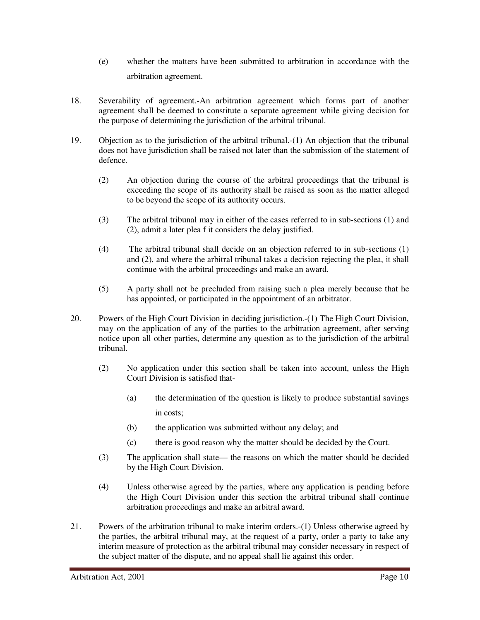- (e) whether the matters have been submitted to arbitration in accordance with the arbitration agreement.
- 18. Severability of agreement.-An arbitration agreement which forms part of another agreement shall be deemed to constitute a separate agreement while giving decision for the purpose of determining the jurisdiction of the arbitral tribunal.
- 19. Objection as to the jurisdiction of the arbitral tribunal.-(1) An objection that the tribunal does not have jurisdiction shall be raised not later than the submission of the statement of defence.
	- (2) An objection during the course of the arbitral proceedings that the tribunal is exceeding the scope of its authority shall be raised as soon as the matter alleged to be beyond the scope of its authority occurs.
	- (3) The arbitral tribunal may in either of the cases referred to in sub-sections (1) and (2), admit a later plea f it considers the delay justified.
	- (4) The arbitral tribunal shall decide on an objection referred to in sub-sections (1) and (2), and where the arbitral tribunal takes a decision rejecting the plea, it shall continue with the arbitral proceedings and make an award.
	- (5) A party shall not be precluded from raising such a plea merely because that he has appointed, or participated in the appointment of an arbitrator.
- 20. Powers of the High Court Division in deciding jurisdiction.-(1) The High Court Division, may on the application of any of the parties to the arbitration agreement, after serving notice upon all other parties, determine any question as to the jurisdiction of the arbitral tribunal.
	- (2) No application under this section shall be taken into account, unless the High Court Division is satisfied that-
		- (a) the determination of the question is likely to produce substantial savings in costs;
		- (b) the application was submitted without any delay; and
		- (c) there is good reason why the matter should be decided by the Court.
	- (3) The application shall state— the reasons on which the matter should be decided by the High Court Division.
	- (4) Unless otherwise agreed by the parties, where any application is pending before the High Court Division under this section the arbitral tribunal shall continue arbitration proceedings and make an arbitral award.
- 21. Powers of the arbitration tribunal to make interim orders.-(1) Unless otherwise agreed by the parties, the arbitral tribunal may, at the request of a party, order a party to take any interim measure of protection as the arbitral tribunal may consider necessary in respect of the subject matter of the dispute, and no appeal shall lie against this order.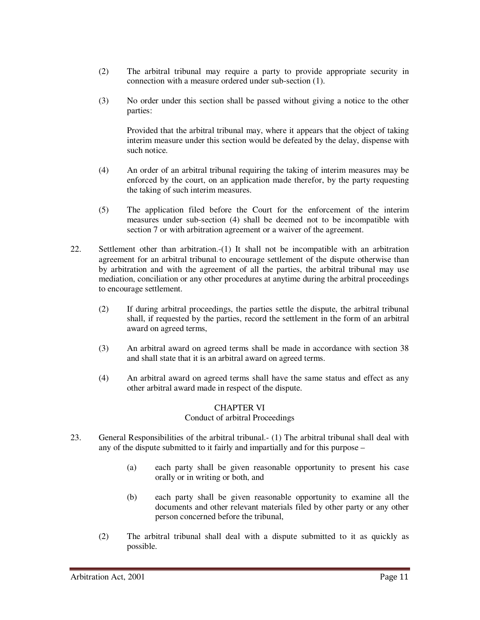- (2) The arbitral tribunal may require a party to provide appropriate security in connection with a measure ordered under sub-section (1).
- (3) No order under this section shall be passed without giving a notice to the other parties:

Provided that the arbitral tribunal may, where it appears that the object of taking interim measure under this section would be defeated by the delay, dispense with such notice.

- (4) An order of an arbitral tribunal requiring the taking of interim measures may be enforced by the court, on an application made therefor, by the party requesting the taking of such interim measures.
- (5) The application filed before the Court for the enforcement of the interim measures under sub-section (4) shall be deemed not to be incompatible with section 7 or with arbitration agreement or a waiver of the agreement.
- 22. Settlement other than arbitration.-(1) It shall not be incompatible with an arbitration agreement for an arbitral tribunal to encourage settlement of the dispute otherwise than by arbitration and with the agreement of all the parties, the arbitral tribunal may use mediation, conciliation or any other procedures at anytime during the arbitral proceedings to encourage settlement.
	- (2) If during arbitral proceedings, the parties settle the dispute, the arbitral tribunal shall, if requested by the parties, record the settlement in the form of an arbitral award on agreed terms,
	- (3) An arbitral award on agreed terms shall be made in accordance with section 38 and shall state that it is an arbitral award on agreed terms.
	- (4) An arbitral award on agreed terms shall have the same status and effect as any other arbitral award made in respect of the dispute.

#### CHAPTER VI Conduct of arbitral Proceedings

- 23. General Responsibilities of the arbitral tribunal.- (1) The arbitral tribunal shall deal with any of the dispute submitted to it fairly and impartially and for this purpose –
	- (a) each party shall be given reasonable opportunity to present his case orally or in writing or both, and
	- (b) each party shall be given reasonable opportunity to examine all the documents and other relevant materials filed by other party or any other person concerned before the tribunal,
	- (2) The arbitral tribunal shall deal with a dispute submitted to it as quickly as possible.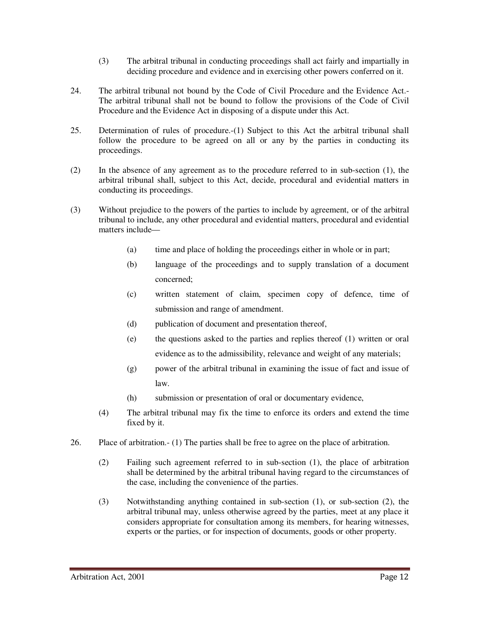- (3) The arbitral tribunal in conducting proceedings shall act fairly and impartially in deciding procedure and evidence and in exercising other powers conferred on it.
- 24. The arbitral tribunal not bound by the Code of Civil Procedure and the Evidence Act.- The arbitral tribunal shall not be bound to follow the provisions of the Code of Civil Procedure and the Evidence Act in disposing of a dispute under this Act.
- 25. Determination of rules of procedure.-(1) Subject to this Act the arbitral tribunal shall follow the procedure to be agreed on all or any by the parties in conducting its proceedings.
- (2) In the absence of any agreement as to the procedure referred to in sub-section (1), the arbitral tribunal shall, subject to this Act, decide, procedural and evidential matters in conducting its proceedings.
- (3) Without prejudice to the powers of the parties to include by agreement, or of the arbitral tribunal to include, any other procedural and evidential matters, procedural and evidential matters include—
	- (a) time and place of holding the proceedings either in whole or in part;
	- (b) language of the proceedings and to supply translation of a document concerned;
	- (c) written statement of claim, specimen copy of defence, time of submission and range of amendment.
	- (d) publication of document and presentation thereof,
	- (e) the questions asked to the parties and replies thereof (1) written or oral evidence as to the admissibility, relevance and weight of any materials;
	- (g) power of the arbitral tribunal in examining the issue of fact and issue of law.
	- (h) submission or presentation of oral or documentary evidence,
	- (4) The arbitral tribunal may fix the time to enforce its orders and extend the time fixed by it.
- 26. Place of arbitration.- (1) The parties shall be free to agree on the place of arbitration.
	- (2) Failing such agreement referred to in sub-section (1), the place of arbitration shall be determined by the arbitral tribunal having regard to the circumstances of the case, including the convenience of the parties.
	- (3) Notwithstanding anything contained in sub-section (1), or sub-section (2), the arbitral tribunal may, unless otherwise agreed by the parties, meet at any place it considers appropriate for consultation among its members, for hearing witnesses, experts or the parties, or for inspection of documents, goods or other property.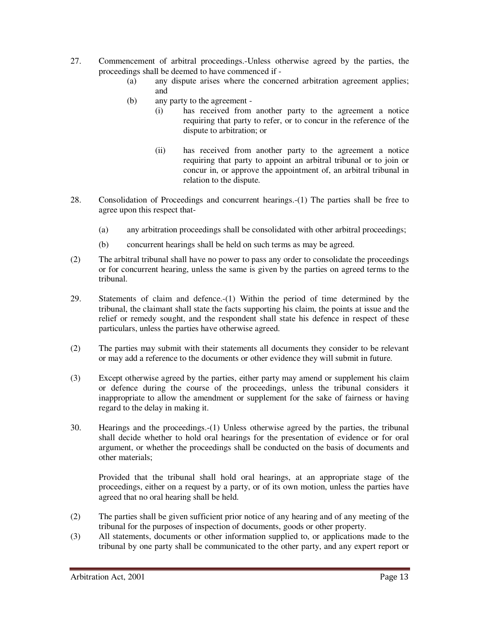- 27. Commencement of arbitral proceedings.-Unless otherwise agreed by the parties, the proceedings shall be deemed to have commenced if -
	- (a) any dispute arises where the concerned arbitration agreement applies; and
	- (b) any party to the agreement
		- (i) has received from another party to the agreement a notice requiring that party to refer, or to concur in the reference of the dispute to arbitration; or
		- (ii) has received from another party to the agreement a notice requiring that party to appoint an arbitral tribunal or to join or concur in, or approve the appointment of, an arbitral tribunal in relation to the dispute.
- 28. Consolidation of Proceedings and concurrent hearings.-(1) The parties shall be free to agree upon this respect that-
	- (a) any arbitration proceedings shall be consolidated with other arbitral proceedings;
	- (b) concurrent hearings shall be held on such terms as may be agreed.
- (2) The arbitral tribunal shall have no power to pass any order to consolidate the proceedings or for concurrent hearing, unless the same is given by the parties on agreed terms to the tribunal.
- 29. Statements of claim and defence.-(1) Within the period of time determined by the tribunal, the claimant shall state the facts supporting his claim, the points at issue and the relief or remedy sought, and the respondent shall state his defence in respect of these particulars, unless the parties have otherwise agreed.
- (2) The parties may submit with their statements all documents they consider to be relevant or may add a reference to the documents or other evidence they will submit in future.
- (3) Except otherwise agreed by the parties, either party may amend or supplement his claim or defence during the course of the proceedings, unless the tribunal considers it inappropriate to allow the amendment or supplement for the sake of fairness or having regard to the delay in making it.
- 30. Hearings and the proceedings.-(1) Unless otherwise agreed by the parties, the tribunal shall decide whether to hold oral hearings for the presentation of evidence or for oral argument, or whether the proceedings shall be conducted on the basis of documents and other materials;

Provided that the tribunal shall hold oral hearings, at an appropriate stage of the proceedings, either on a request by a party, or of its own motion, unless the parties have agreed that no oral hearing shall be held.

- (2) The parties shall be given sufficient prior notice of any hearing and of any meeting of the tribunal for the purposes of inspection of documents, goods or other property.
- (3) All statements, documents or other information supplied to, or applications made to the tribunal by one party shall be communicated to the other party, and any expert report or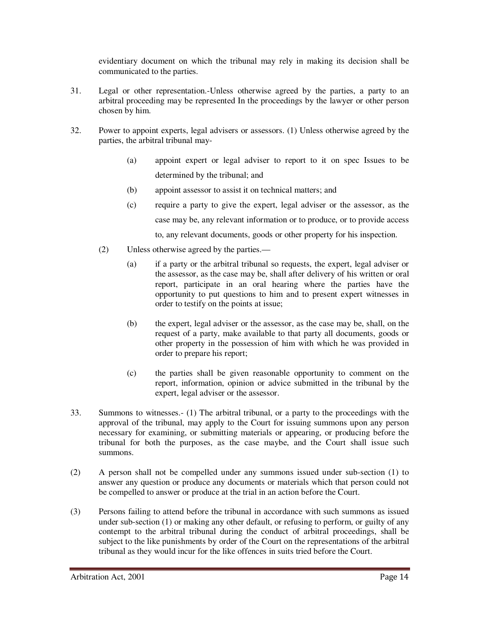evidentiary document on which the tribunal may rely in making its decision shall be communicated to the parties.

- 31. Legal or other representation.-Unless otherwise agreed by the parties, a party to an arbitral proceeding may be represented In the proceedings by the lawyer or other person chosen by him.
- 32. Power to appoint experts, legal advisers or assessors. (1) Unless otherwise agreed by the parties, the arbitral tribunal may-
	- (a) appoint expert or legal adviser to report to it on spec Issues to be determined by the tribunal; and
	- (b) appoint assessor to assist it on technical matters; and
	- (c) require a party to give the expert, legal adviser or the assessor, as the case may be, any relevant information or to produce, or to provide access to, any relevant documents, goods or other property for his inspection.
	- (2) Unless otherwise agreed by the parties.—
		- (a) if a party or the arbitral tribunal so requests, the expert, legal adviser or the assessor, as the case may be, shall after delivery of his written or oral report, participate in an oral hearing where the parties have the opportunity to put questions to him and to present expert witnesses in order to testify on the points at issue;
		- (b) the expert, legal adviser or the assessor, as the case may be, shall, on the request of a party, make available to that party all documents, goods or other property in the possession of him with which he was provided in order to prepare his report;
		- (c) the parties shall be given reasonable opportunity to comment on the report, information, opinion or advice submitted in the tribunal by the expert, legal adviser or the assessor.
- 33. Summons to witnesses.- (1) The arbitral tribunal, or a party to the proceedings with the approval of the tribunal, may apply to the Court for issuing summons upon any person necessary for examining, or submitting materials or appearing, or producing before the tribunal for both the purposes, as the case maybe, and the Court shall issue such summons.
- (2) A person shall not be compelled under any summons issued under sub-section (1) to answer any question or produce any documents or materials which that person could not be compelled to answer or produce at the trial in an action before the Court.
- (3) Persons failing to attend before the tribunal in accordance with such summons as issued under sub-section (1) or making any other default, or refusing to perform, or guilty of any contempt to the arbitral tribunal during the conduct of arbitral proceedings, shall be subject to the like punishments by order of the Court on the representations of the arbitral tribunal as they would incur for the like offences in suits tried before the Court.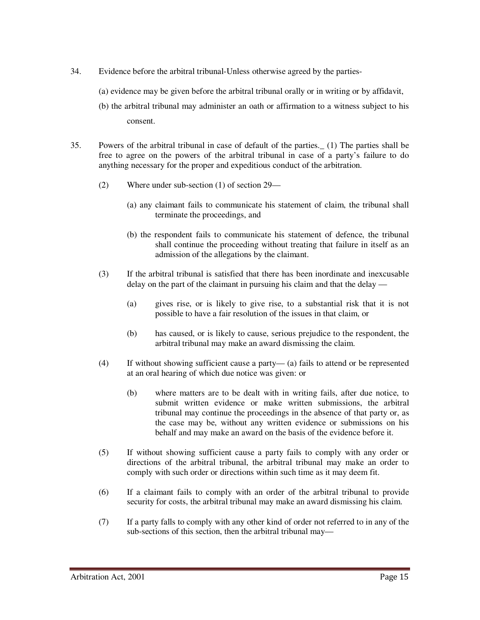- 34. Evidence before the arbitral tribunal-Unless otherwise agreed by the parties-
	- (a) evidence may be given before the arbitral tribunal orally or in writing or by affidavit,
	- (b) the arbitral tribunal may administer an oath or affirmation to a witness subject to his consent.
- 35. Powers of the arbitral tribunal in case of default of the parties.\_ (1) The parties shall be free to agree on the powers of the arbitral tribunal in case of a party's failure to do anything necessary for the proper and expeditious conduct of the arbitration.
	- (2) Where under sub-section (1) of section 29—
		- (a) any claimant fails to communicate his statement of claim, the tribunal shall terminate the proceedings, and
		- (b) the respondent fails to communicate his statement of defence, the tribunal shall continue the proceeding without treating that failure in itself as an admission of the allegations by the claimant.
	- (3) If the arbitral tribunal is satisfied that there has been inordinate and inexcusable delay on the part of the claimant in pursuing his claim and that the delay —
		- (a) gives rise, or is likely to give rise, to a substantial risk that it is not possible to have a fair resolution of the issues in that claim, or
		- (b) has caused, or is likely to cause, serious prejudice to the respondent, the arbitral tribunal may make an award dismissing the claim.
	- (4) If without showing sufficient cause a party— (a) fails to attend or be represented at an oral hearing of which due notice was given: or
		- (b) where matters are to be dealt with in writing fails, after due notice, to submit written evidence or make written submissions, the arbitral tribunal may continue the proceedings in the absence of that party or, as the case may be, without any written evidence or submissions on his behalf and may make an award on the basis of the evidence before it.
	- (5) If without showing sufficient cause a party fails to comply with any order or directions of the arbitral tribunal, the arbitral tribunal may make an order to comply with such order or directions within such time as it may deem fit.
	- (6) If a claimant fails to comply with an order of the arbitral tribunal to provide security for costs, the arbitral tribunal may make an award dismissing his claim.
	- (7) If a party falls to comply with any other kind of order not referred to in any of the sub-sections of this section, then the arbitral tribunal may—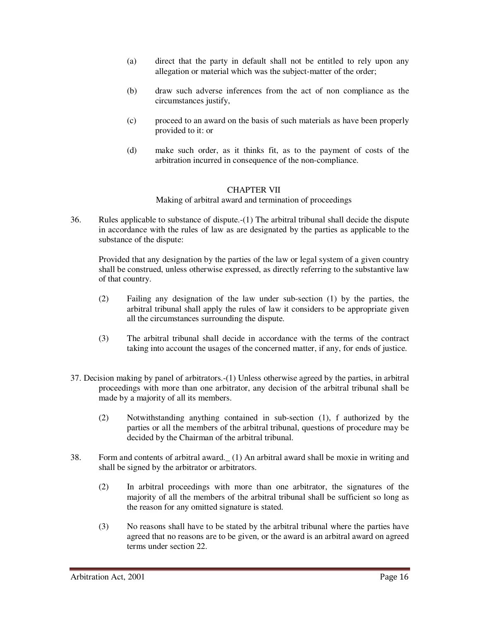- (a) direct that the party in default shall not be entitled to rely upon any allegation or material which was the subject-matter of the order;
- (b) draw such adverse inferences from the act of non compliance as the circumstances justify,
- (c) proceed to an award on the basis of such materials as have been properly provided to it: or
- (d) make such order, as it thinks fit, as to the payment of costs of the arbitration incurred in consequence of the non-compliance.

#### CHAPTER VII

Making of arbitral award and termination of proceedings

36. Rules applicable to substance of dispute.-(1) The arbitral tribunal shall decide the dispute in accordance with the rules of law as are designated by the parties as applicable to the substance of the dispute:

Provided that any designation by the parties of the law or legal system of a given country shall be construed, unless otherwise expressed, as directly referring to the substantive law of that country.

- (2) Failing any designation of the law under sub-section (1) by the parties, the arbitral tribunal shall apply the rules of law it considers to be appropriate given all the circumstances surrounding the dispute.
- (3) The arbitral tribunal shall decide in accordance with the terms of the contract taking into account the usages of the concerned matter, if any, for ends of justice.
- 37. Decision making by panel of arbitrators.-(1) Unless otherwise agreed by the parties, in arbitral proceedings with more than one arbitrator, any decision of the arbitral tribunal shall be made by a majority of all its members.
	- (2) Notwithstanding anything contained in sub-section (1), f authorized by the parties or all the members of the arbitral tribunal, questions of procedure may be decided by the Chairman of the arbitral tribunal.
- 38. Form and contents of arbitral award.\_ (1) An arbitral award shall be moxie in writing and shall be signed by the arbitrator or arbitrators.
	- (2) In arbitral proceedings with more than one arbitrator, the signatures of the majority of all the members of the arbitral tribunal shall be sufficient so long as the reason for any omitted signature is stated.
	- (3) No reasons shall have to be stated by the arbitral tribunal where the parties have agreed that no reasons are to be given, or the award is an arbitral award on agreed terms under section 22.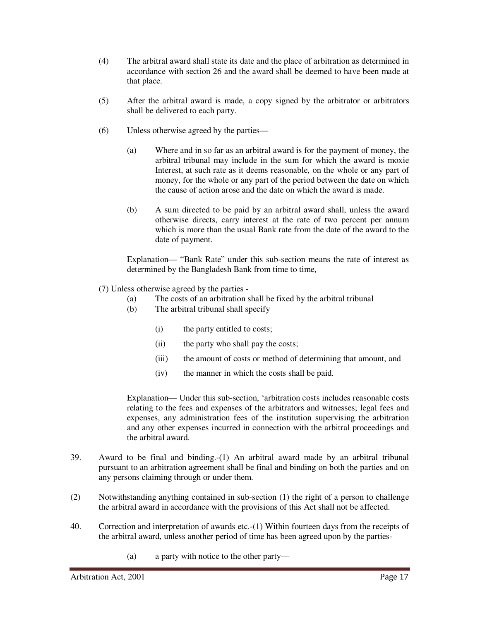- (4) The arbitral award shall state its date and the place of arbitration as determined in accordance with section 26 and the award shall be deemed to have been made at that place.
- (5) After the arbitral award is made, a copy signed by the arbitrator or arbitrators shall be delivered to each party.
- (6) Unless otherwise agreed by the parties—
	- (a) Where and in so far as an arbitral award is for the payment of money, the arbitral tribunal may include in the sum for which the award is moxie Interest, at such rate as it deems reasonable, on the whole or any part of money, for the whole or any part of the period between the date on which the cause of action arose and the date on which the award is made.
	- (b) A sum directed to be paid by an arbitral award shall, unless the award otherwise directs, carry interest at the rate of two percent per annum which is more than the usual Bank rate from the date of the award to the date of payment.

Explanation— "Bank Rate" under this sub-section means the rate of interest as determined by the Bangladesh Bank from time to time,

- (7) Unless otherwise agreed by the parties
	- (a) The costs of an arbitration shall be fixed by the arbitral tribunal
	- (b) The arbitral tribunal shall specify
		- (i) the party entitled to costs;
		- (ii) the party who shall pay the costs;
		- (iii) the amount of costs or method of determining that amount, and
		- (iv) the manner in which the costs shall be paid.

Explanation— Under this sub-section, 'arbitration costs includes reasonable costs relating to the fees and expenses of the arbitrators and witnesses; legal fees and expenses, any administration fees of the institution supervising the arbitration and any other expenses incurred in connection with the arbitral proceedings and the arbitral award.

- 39. Award to be final and binding.-(1) An arbitral award made by an arbitral tribunal pursuant to an arbitration agreement shall be final and binding on both the parties and on any persons claiming through or under them.
- (2) Notwithstanding anything contained in sub-section (1) the right of a person to challenge the arbitral award in accordance with the provisions of this Act shall not be affected.
- 40. Correction and interpretation of awards etc.-(1) Within fourteen days from the receipts of the arbitral award, unless another period of time has been agreed upon by the parties-
	- (a) a party with notice to the other party—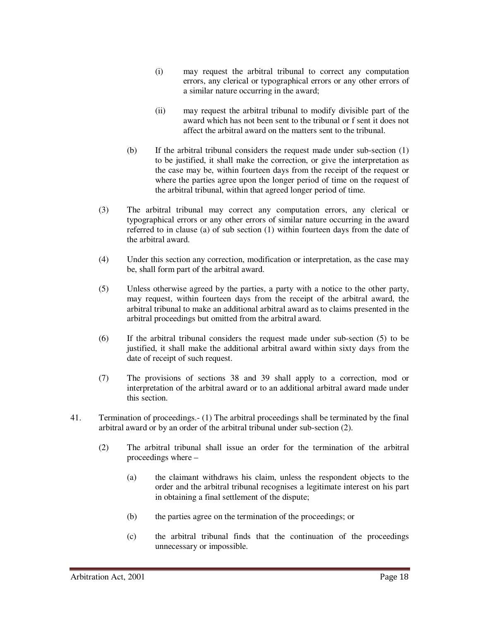- (i) may request the arbitral tribunal to correct any computation errors, any clerical or typographical errors or any other errors of a similar nature occurring in the award;
- (ii) may request the arbitral tribunal to modify divisible part of the award which has not been sent to the tribunal or f sent it does not affect the arbitral award on the matters sent to the tribunal.
- (b) If the arbitral tribunal considers the request made under sub-section (1) to be justified, it shall make the correction, or give the interpretation as the case may be, within fourteen days from the receipt of the request or where the parties agree upon the longer period of time on the request of the arbitral tribunal, within that agreed longer period of time.
- (3) The arbitral tribunal may correct any computation errors, any clerical or typographical errors or any other errors of similar nature occurring in the award referred to in clause (a) of sub section (1) within fourteen days from the date of the arbitral award.
- (4) Under this section any correction, modification or interpretation, as the case may be, shall form part of the arbitral award.
- (5) Unless otherwise agreed by the parties, a party with a notice to the other party, may request, within fourteen days from the receipt of the arbitral award, the arbitral tribunal to make an additional arbitral award as to claims presented in the arbitral proceedings but omitted from the arbitral award.
- (6) If the arbitral tribunal considers the request made under sub-section (5) to be justified, it shall make the additional arbitral award within sixty days from the date of receipt of such request.
- (7) The provisions of sections 38 and 39 shall apply to a correction, mod or interpretation of the arbitral award or to an additional arbitral award made under this section.
- 41. Termination of proceedings.- (1) The arbitral proceedings shall be terminated by the final arbitral award or by an order of the arbitral tribunal under sub-section (2).
	- (2) The arbitral tribunal shall issue an order for the termination of the arbitral proceedings where –
		- (a) the claimant withdraws his claim, unless the respondent objects to the order and the arbitral tribunal recognises a legitimate interest on his part in obtaining a final settlement of the dispute;
		- (b) the parties agree on the termination of the proceedings; or
		- (c) the arbitral tribunal finds that the continuation of the proceedings unnecessary or impossible.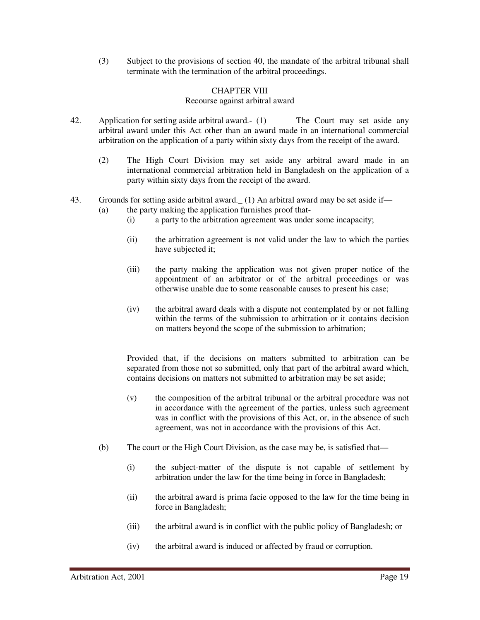(3) Subject to the provisions of section 40, the mandate of the arbitral tribunal shall terminate with the termination of the arbitral proceedings.

#### CHAPTER VIII

#### Recourse against arbitral award

- 42. Application for setting aside arbitral award.- (1) The Court may set aside any arbitral award under this Act other than an award made in an international commercial arbitration on the application of a party within sixty days from the receipt of the award.
	- (2) The High Court Division may set aside any arbitral award made in an international commercial arbitration held in Bangladesh on the application of a party within sixty days from the receipt of the award.
- 43. Grounds for setting aside arbitral award.  $(1)$  An arbitral award may be set aside if—
	- (a) the party making the application furnishes proof that-
		- (i) a party to the arbitration agreement was under some incapacity;
		- (ii) the arbitration agreement is not valid under the law to which the parties have subjected it;
		- (iii) the party making the application was not given proper notice of the appointment of an arbitrator or of the arbitral proceedings or was otherwise unable due to some reasonable causes to present his case;
		- (iv) the arbitral award deals with a dispute not contemplated by or not falling within the terms of the submission to arbitration or it contains decision on matters beyond the scope of the submission to arbitration;

Provided that, if the decisions on matters submitted to arbitration can be separated from those not so submitted, only that part of the arbitral award which, contains decisions on matters not submitted to arbitration may be set aside;

- (v) the composition of the arbitral tribunal or the arbitral procedure was not in accordance with the agreement of the parties, unless such agreement was in conflict with the provisions of this Act, or, in the absence of such agreement, was not in accordance with the provisions of this Act.
- (b) The court or the High Court Division, as the case may be, is satisfied that—
	- (i) the subject-matter of the dispute is not capable of settlement by arbitration under the law for the time being in force in Bangladesh;
	- (ii) the arbitral award is prima facie opposed to the law for the time being in force in Bangladesh;
	- (iii) the arbitral award is in conflict with the public policy of Bangladesh; or
	- (iv) the arbitral award is induced or affected by fraud or corruption.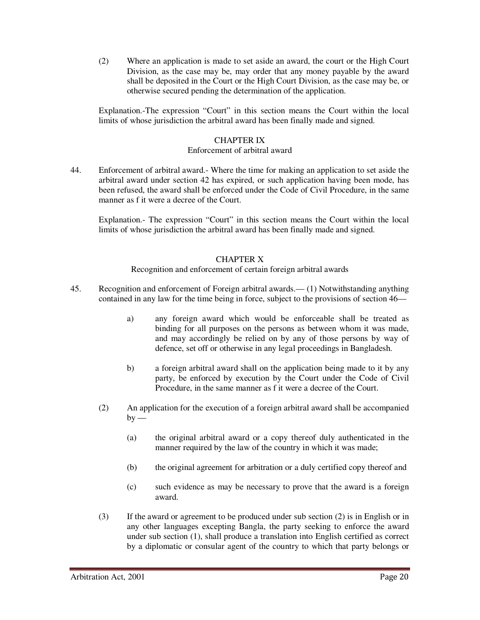(2) Where an application is made to set aside an award, the court or the High Court Division, as the case may be, may order that any money payable by the award shall be deposited in the Court or the High Court Division, as the case may be, or otherwise secured pending the determination of the application.

Explanation.-The expression "Court" in this section means the Court within the local limits of whose jurisdiction the arbitral award has been finally made and signed.

#### CHAPTER IX

#### Enforcement of arbitral award

44. Enforcement of arbitral award.- Where the time for making an application to set aside the arbitral award under section 42 has expired, or such application having been mode, has been refused, the award shall be enforced under the Code of Civil Procedure, in the same manner as f it were a decree of the Court.

Explanation.- The expression "Court" in this section means the Court within the local limits of whose jurisdiction the arbitral award has been finally made and signed.

#### CHAPTER X

#### Recognition and enforcement of certain foreign arbitral awards

- 45. Recognition and enforcement of Foreign arbitral awards.— (1) Notwithstanding anything contained in any law for the time being in force, subject to the provisions of section 46
	- a) any foreign award which would be enforceable shall be treated as binding for all purposes on the persons as between whom it was made, and may accordingly be relied on by any of those persons by way of defence, set off or otherwise in any legal proceedings in Bangladesh.
	- b) a foreign arbitral award shall on the application being made to it by any party, be enforced by execution by the Court under the Code of Civil Procedure, in the same manner as f it were a decree of the Court.
	- (2) An application for the execution of a foreign arbitral award shall be accompanied  $by -$ 
		- (a) the original arbitral award or a copy thereof duly authenticated in the manner required by the law of the country in which it was made;
		- (b) the original agreement for arbitration or a duly certified copy thereof and
		- (c) such evidence as may be necessary to prove that the award is a foreign award.
	- (3) If the award or agreement to be produced under sub section (2) is in English or in any other languages excepting Bangla, the party seeking to enforce the award under sub section (1), shall produce a translation into English certified as correct by a diplomatic or consular agent of the country to which that party belongs or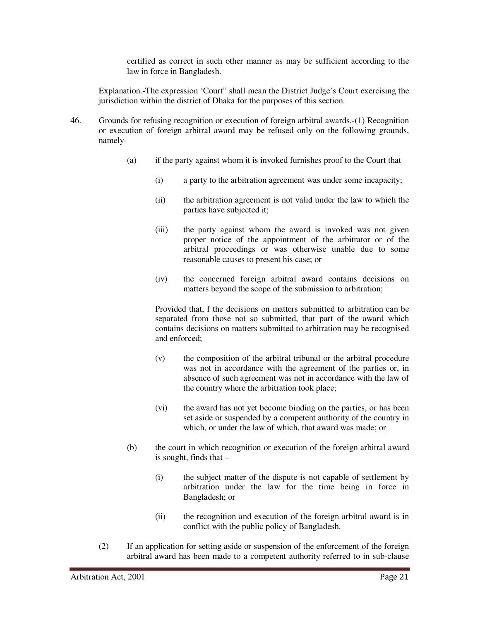certified as correct in such other manner as may be sufficient according to the law in force in Bangladesh.

Explanation.-The expression 'Court" shall mean the District Judge's Court exercising the jurisdiction within the district of Dhaka for the purposes of this section.

- 46. Grounds for refusing recognition or execution of foreign arbitral awards.-(1) Recognition or execution of foreign arbitral award may be refused only on the following grounds, namely-
	- (a) if the party against whom it is invoked furnishes proof to the Court that
		- (i) a party to the arbitration agreement was under some incapacity;
		- (ii) the arbitration agreement is not valid under the law to which the parties have subjected it;
		- (iii) the party against whom the award is invoked was not given proper notice of the appointment of the arbitrator or of the arbitral proceedings or was otherwise unable due to some reasonable causes to present his case; or
		- (iv) the concerned foreign arbitral award contains decisions on matters beyond the scope of the submission to arbitration;

Provided that, f the decisions on matters submitted to arbitration can be separated from those not so submitted, that part of the award which contains decisions on matters submitted to arbitration may be recognised and enforced;

- (v) the composition of the arbitral tribunal or the arbitral procedure was not in accordance with the agreement of the parties or, in absence of such agreement was not in accordance with the law of the country where the arbitration took place;
- (vi) the award has not yet become binding on the parties, or has been set aside or suspended by a competent authority of the country in which, or under the law of which, that award was made; or
- (b) the court in which recognition or execution of the foreign arbitral award is sought, finds that  $-$ 
	- (i) the subject matter of the dispute is not capable of settlement by arbitration under the law for the time being in force in Bangladesh; or
	- (ii) the recognition and execution of the foreign arbitral award is in conflict with the public policy of Bangladesh.
- (2) If an application for setting aside or suspension of the enforcement of the foreign arbitral award has been made to a competent authority referred to in sub-clause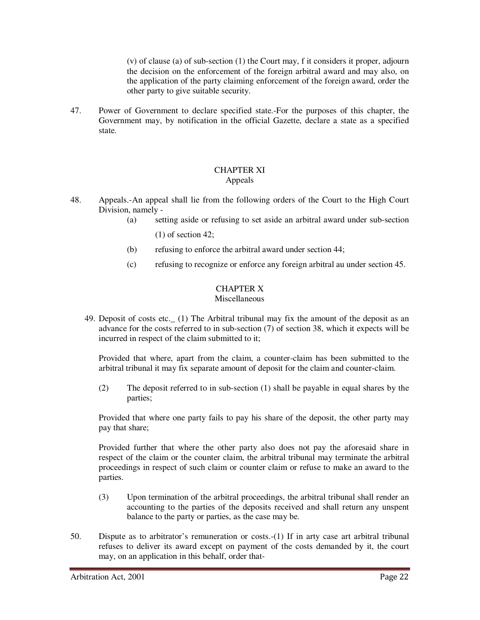(v) of clause (a) of sub-section (1) the Court may, f it considers it proper, adjourn the decision on the enforcement of the foreign arbitral award and may also, on the application of the party claiming enforcement of the foreign award, order the other party to give suitable security.

47. Power of Government to declare specified state.-For the purposes of this chapter, the Government may, by notification in the official Gazette, declare a state as a specified state.

#### CHAPTER XI Appeals

- 48. Appeals.-An appeal shall lie from the following orders of the Court to the High Court Division, namely -
	- (a) setting aside or refusing to set aside an arbitral award under sub-section (1) of section 42;
	- (b) refusing to enforce the arbitral award under section 44;
	- (c) refusing to recognize or enforce any foreign arbitral au under section 45.

# CHAPTER X

#### Miscellaneous

49. Deposit of costs etc.\_ (1) The Arbitral tribunal may fix the amount of the deposit as an advance for the costs referred to in sub-section (7) of section 38, which it expects will be incurred in respect of the claim submitted to it;

Provided that where, apart from the claim, a counter-claim has been submitted to the arbitral tribunal it may fix separate amount of deposit for the claim and counter-claim.

(2) The deposit referred to in sub-section (1) shall be payable in equal shares by the parties;

Provided that where one party fails to pay his share of the deposit, the other party may pay that share;

Provided further that where the other party also does not pay the aforesaid share in respect of the claim or the counter claim, the arbitral tribunal may terminate the arbitral proceedings in respect of such claim or counter claim or refuse to make an award to the parties.

- (3) Upon termination of the arbitral proceedings, the arbitral tribunal shall render an accounting to the parties of the deposits received and shall return any unspent balance to the party or parties, as the case may be.
- 50. Dispute as to arbitrator's remuneration or costs.-(1) If in arty case art arbitral tribunal refuses to deliver its award except on payment of the costs demanded by it, the court may, on an application in this behalf, order that-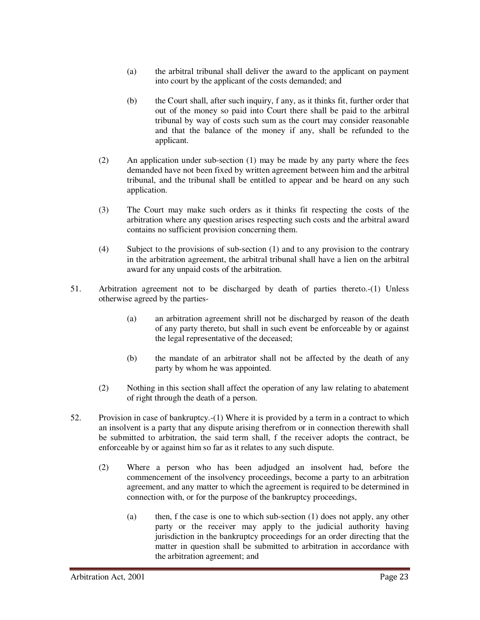- (a) the arbitral tribunal shall deliver the award to the applicant on payment into court by the applicant of the costs demanded; and
- (b) the Court shall, after such inquiry, f any, as it thinks fit, further order that out of the money so paid into Court there shall be paid to the arbitral tribunal by way of costs such sum as the court may consider reasonable and that the balance of the money if any, shall be refunded to the applicant.
- (2) An application under sub-section (1) may be made by any party where the fees demanded have not been fixed by written agreement between him and the arbitral tribunal, and the tribunal shall be entitled to appear and be heard on any such application.
- (3) The Court may make such orders as it thinks fit respecting the costs of the arbitration where any question arises respecting such costs and the arbitral award contains no sufficient provision concerning them.
- (4) Subject to the provisions of sub-section (1) and to any provision to the contrary in the arbitration agreement, the arbitral tribunal shall have a lien on the arbitral award for any unpaid costs of the arbitration.
- 51. Arbitration agreement not to be discharged by death of parties thereto.-(1) Unless otherwise agreed by the parties-
	- (a) an arbitration agreement shrill not be discharged by reason of the death of any party thereto, but shall in such event be enforceable by or against the legal representative of the deceased;
	- (b) the mandate of an arbitrator shall not be affected by the death of any party by whom he was appointed.
	- (2) Nothing in this section shall affect the operation of any law relating to abatement of right through the death of a person.
- 52. Provision in case of bankruptcy.-(1) Where it is provided by a term in a contract to which an insolvent is a party that any dispute arising therefrom or in connection therewith shall be submitted to arbitration, the said term shall, f the receiver adopts the contract, be enforceable by or against him so far as it relates to any such dispute.
	- (2) Where a person who has been adjudged an insolvent had, before the commencement of the insolvency proceedings, become a party to an arbitration agreement, and any matter to which the agreement is required to be determined in connection with, or for the purpose of the bankruptcy proceedings,
		- (a) then, f the case is one to which sub-section (1) does not apply, any other party or the receiver may apply to the judicial authority having jurisdiction in the bankruptcy proceedings for an order directing that the matter in question shall be submitted to arbitration in accordance with the arbitration agreement; and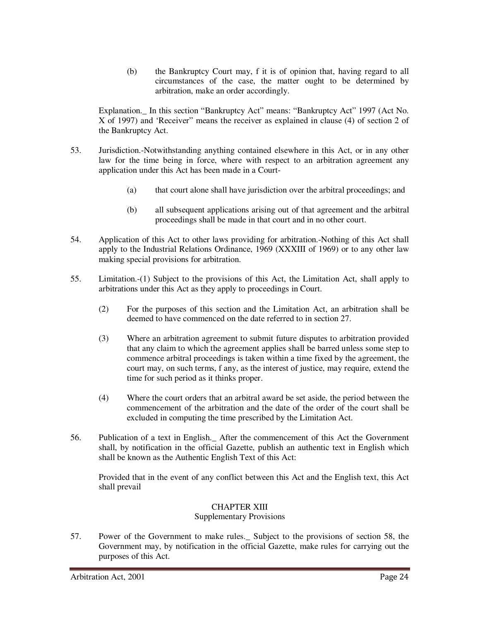(b) the Bankruptcy Court may, f it is of opinion that, having regard to all circumstances of the case, the matter ought to be determined by arbitration, make an order accordingly.

Explanation.\_ In this section "Bankruptcy Act" means: "Bankruptcy Act" 1997 (Act No. X of 1997) and 'Receiver" means the receiver as explained in clause (4) of section 2 of the Bankruptcy Act.

- 53. Jurisdiction.-Notwithstanding anything contained elsewhere in this Act, or in any other law for the time being in force, where with respect to an arbitration agreement any application under this Act has been made in a Court-
	- (a) that court alone shall have jurisdiction over the arbitral proceedings; and
	- (b) all subsequent applications arising out of that agreement and the arbitral proceedings shall be made in that court and in no other court.
- 54. Application of this Act to other laws providing for arbitration.-Nothing of this Act shall apply to the Industrial Relations Ordinance, 1969 (XXXIII of 1969) or to any other law making special provisions for arbitration.
- 55. Limitation.-(1) Subject to the provisions of this Act, the Limitation Act, shall apply to arbitrations under this Act as they apply to proceedings in Court.
	- (2) For the purposes of this section and the Limitation Act, an arbitration shall be deemed to have commenced on the date referred to in section 27.
	- (3) Where an arbitration agreement to submit future disputes to arbitration provided that any claim to which the agreement applies shall be barred unless some step to commence arbitral proceedings is taken within a time fixed by the agreement, the court may, on such terms, f any, as the interest of justice, may require, extend the time for such period as it thinks proper.
	- (4) Where the court orders that an arbitral award be set aside, the period between the commencement of the arbitration and the date of the order of the court shall be excluded in computing the time prescribed by the Limitation Act.
- 56. Publication of a text in English.\_ After the commencement of this Act the Government shall, by notification in the official Gazette, publish an authentic text in English which shall be known as the Authentic English Text of this Act:

Provided that in the event of any conflict between this Act and the English text, this Act shall prevail

#### CHAPTER XIII

Supplementary Provisions

57. Power of the Government to make rules.\_ Subject to the provisions of section 58, the Government may, by notification in the official Gazette, make rules for carrying out the purposes of this Act.